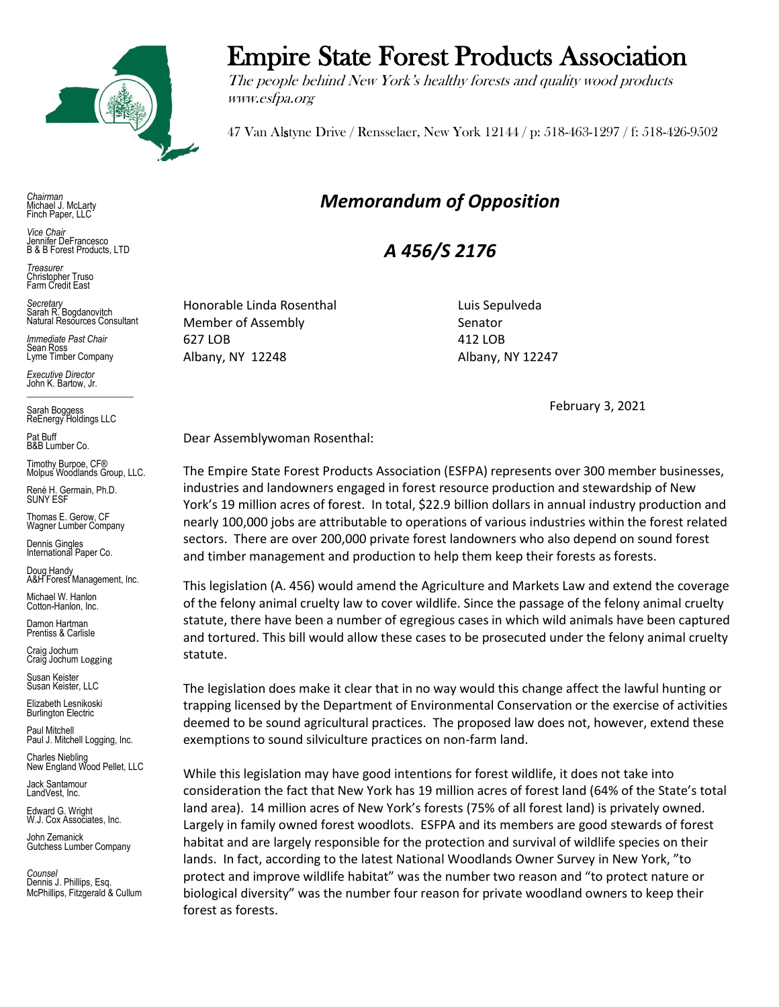

*Chairman* Michael J. McLarty Finch Paper, LLC

*Vice Chair* Jennifer DeFrancesco B & B Forest Products, LTD

*Treasurer* Christopher Truso Farm Credit East

*Secretary* Sarah R. Bogdanovitch Natural Resources Consultant

*Immediate Past Chair* Sean Ross Lyme Timber Company

*Executive Director* John K. Bartow, Jr.  $\mathcal{L}_\text{max}$  , we are the set of the set of the set of the set of the set of the set of the set of the set of the set of the set of the set of the set of the set of the set of the set of the set of the set of the set of

Sarah Boggess ReEnergy Holdings LLC

Pat Buff B&B Lumber Co.

Timothy Burpoe, CF® Molpus Woodlands Group, LLC.

Renè H. Germain, Ph.D. SUNY ESF

Thomas E. Gerow, CF Wagner Lumber Company

Dennis Gingles International Paper Co.

Doug Handy A&H Forest Management, Inc.

Michael W. Hanlon Cotton-Hanlon, Inc.

Damon Hartman Prentiss & Carlisle

Craig Jochum Craig Jochum Logging

Susan Keister Susan Keister, LLC

Elizabeth Lesnikoski **Burlington Electric** 

Paul Mitchell Paul J. Mitchell Logging, Inc.

Charles Niebling New England Wood Pellet, LLC

Jack Santamour LandVest, Inc.

Edward G. Wright W.J. Cox Associates, Inc.

John Zemanick Gutchess Lumber Company

*Counsel* Dennis J. Phillips, Esq. McPhillips, Fitzgerald & Cullum

## Empire State Forest Products Association

The people behind New York's healthy forests and quality wood products www.esfpa.org

47 Van Alstyne Drive / Rensselaer, New York 12144 / p: 518-463-1297 / f: 518-426-9502

## *Memorandum of Opposition*

*A 456/S 2176*

Honorable Linda Rosenthal **Luis Sepulveda** Member of Assembly Senator 627 LOB 412 LOB Albany, NY 12248 Albany, NY 12247

February 3, 2021

Dear Assemblywoman Rosenthal:

The Empire State Forest Products Association (ESFPA) represents over 300 member businesses, industries and landowners engaged in forest resource production and stewardship of New York's 19 million acres of forest. In total, \$22.9 billion dollars in annual industry production and nearly 100,000 jobs are attributable to operations of various industries within the forest related sectors. There are over 200,000 private forest landowners who also depend on sound forest and timber management and production to help them keep their forests as forests.

This legislation (A. 456) would amend the Agriculture and Markets Law and extend the coverage of the felony animal cruelty law to cover wildlife. Since the passage of the felony animal cruelty statute, there have been a number of egregious cases in which wild animals have been captured and tortured. This bill would allow these cases to be prosecuted under the felony animal cruelty statute.

The legislation does make it clear that in no way would this change affect the lawful hunting or trapping licensed by the Department of Environmental Conservation or the exercise of activities deemed to be sound agricultural practices. The proposed law does not, however, extend these exemptions to sound silviculture practices on non-farm land.

While this legislation may have good intentions for forest wildlife, it does not take into consideration the fact that New York has 19 million acres of forest land (64% of the State's total land area). 14 million acres of New York's forests (75% of all forest land) is privately owned. Largely in family owned forest woodlots. ESFPA and its members are good stewards of forest habitat and are largely responsible for the protection and survival of wildlife species on their lands. In fact, according to the latest National Woodlands Owner Survey in New York, "to protect and improve wildlife habitat" was the number two reason and "to protect nature or biological diversity" was the number four reason for private woodland owners to keep their forest as forests.